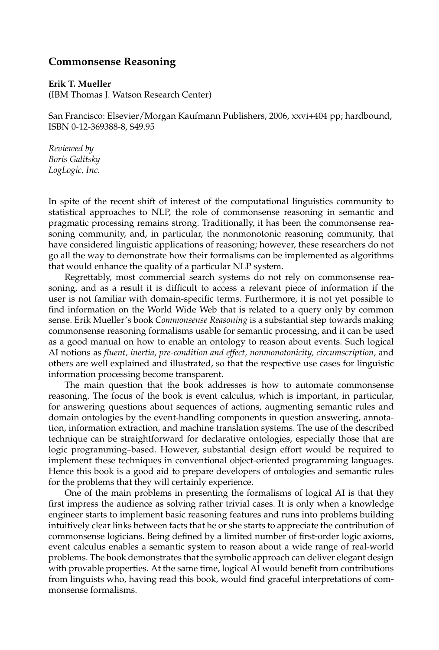## **Commonsense Reasoning**

## **Erik T. Mueller**

(IBM Thomas J. Watson Research Center)

San Francisco: Elsevier/Morgan Kaufmann Publishers, 2006, xxvi+404 pp; hardbound, ISBN 0-12-369388-8, \$49.95

*Reviewed by Boris Galitsky LogLogic, Inc.*

In spite of the recent shift of interest of the computational linguistics community to statistical approaches to NLP, the role of commonsense reasoning in semantic and pragmatic processing remains strong. Traditionally, it has been the commonsense reasoning community, and, in particular, the nonmonotonic reasoning community, that have considered linguistic applications of reasoning; however, these researchers do not go all the way to demonstrate how their formalisms can be implemented as algorithms that would enhance the quality of a particular NLP system.

Regrettably, most commercial search systems do not rely on commonsense reasoning, and as a result it is difficult to access a relevant piece of information if the user is not familiar with domain-specific terms. Furthermore, it is not yet possible to find information on the World Wide Web that is related to a query only by common sense. Erik Mueller's book *Commonsense Reasoning* is a substantial step towards making commonsense reasoning formalisms usable for semantic processing, and it can be used as a good manual on how to enable an ontology to reason about events. Such logical AI notions as *fluent, inertia, pre-condition and effect, nonmonotonicity, circumscription,* and others are well explained and illustrated, so that the respective use cases for linguistic information processing become transparent.

The main question that the book addresses is how to automate commonsense reasoning. The focus of the book is event calculus, which is important, in particular, for answering questions about sequences of actions, augmenting semantic rules and domain ontologies by the event-handling components in question answering, annotation, information extraction, and machine translation systems. The use of the described technique can be straightforward for declarative ontologies, especially those that are logic programming–based. However, substantial design effort would be required to implement these techniques in conventional object-oriented programming languages. Hence this book is a good aid to prepare developers of ontologies and semantic rules for the problems that they will certainly experience.

One of the main problems in presenting the formalisms of logical AI is that they first impress the audience as solving rather trivial cases. It is only when a knowledge engineer starts to implement basic reasoning features and runs into problems building intuitively clear links between facts that he or she starts to appreciate the contribution of commonsense logicians. Being defined by a limited number of first-order logic axioms, event calculus enables a semantic system to reason about a wide range of real-world problems. The book demonstrates that the symbolic approach can deliver elegant design with provable properties. At the same time, logical AI would benefit from contributions from linguists who, having read this book, would find graceful interpretations of commonsense formalisms.